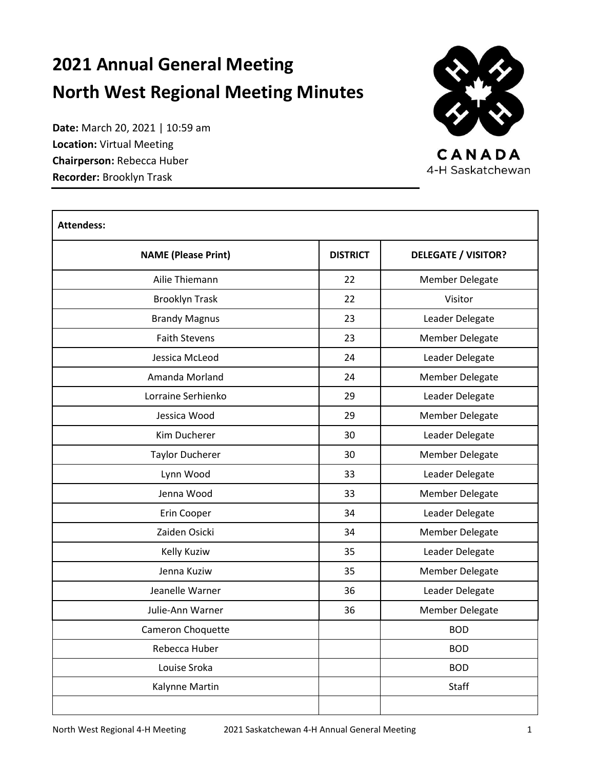# **2021 Annual General Meeting North West Regional Meeting Minutes**

CANADA 4-H Saskatchewan

**Date:** March 20, 2021 | 10:59 am **Location:** Virtual Meeting **Chairperson:** Rebecca Huber **Recorder:** Brooklyn Trask

 $\Gamma$ 

| <b>Attendess:</b>          |                 |                                                                                        |  |  |  |
|----------------------------|-----------------|----------------------------------------------------------------------------------------|--|--|--|
| <b>NAME (Please Print)</b> | <b>DISTRICT</b> | <b>DELEGATE / VISITOR?</b>                                                             |  |  |  |
| Ailie Thiemann             | 22              | <b>Member Delegate</b>                                                                 |  |  |  |
| <b>Brooklyn Trask</b>      | 22<br>23        | Visitor                                                                                |  |  |  |
| <b>Brandy Magnus</b>       |                 | Leader Delegate<br><b>Member Delegate</b><br>Leader Delegate<br><b>Member Delegate</b> |  |  |  |
| <b>Faith Stevens</b>       | 23              |                                                                                        |  |  |  |
| Jessica McLeod             | 24              |                                                                                        |  |  |  |
| Amanda Morland             | 24              |                                                                                        |  |  |  |
| Lorraine Serhienko         | 29              | Leader Delegate                                                                        |  |  |  |
| Jessica Wood               | 29              | Member Delegate                                                                        |  |  |  |
| Kim Ducherer               | 30              | Leader Delegate                                                                        |  |  |  |
| <b>Taylor Ducherer</b>     | 30              | Member Delegate                                                                        |  |  |  |
| Lynn Wood                  | 33              | Leader Delegate                                                                        |  |  |  |
| Jenna Wood                 | 33              | <b>Member Delegate</b>                                                                 |  |  |  |
| Erin Cooper                | 34              | Leader Delegate                                                                        |  |  |  |
| Zaiden Osicki              | 34              | <b>Member Delegate</b>                                                                 |  |  |  |
| <b>Kelly Kuziw</b>         | 35              | Leader Delegate                                                                        |  |  |  |
| Jenna Kuziw                | 35              | <b>Member Delegate</b>                                                                 |  |  |  |
| Jeanelle Warner            | 36              | Leader Delegate                                                                        |  |  |  |
| Julie-Ann Warner           | 36              | <b>Member Delegate</b>                                                                 |  |  |  |
| Cameron Choquette          |                 | <b>BOD</b>                                                                             |  |  |  |
| Rebecca Huber              |                 | <b>BOD</b>                                                                             |  |  |  |
| Louise Sroka               |                 | <b>BOD</b>                                                                             |  |  |  |
| Kalynne Martin             |                 | <b>Staff</b>                                                                           |  |  |  |
|                            |                 |                                                                                        |  |  |  |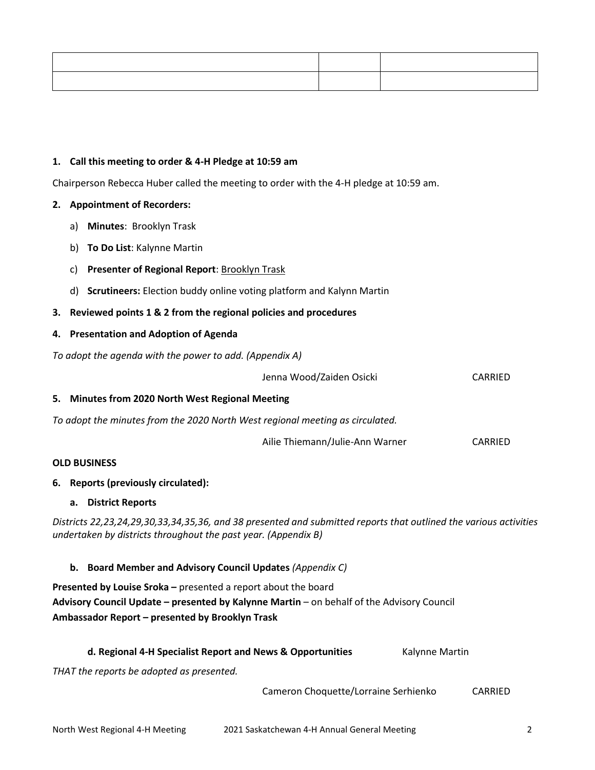### **1. Call this meeting to order & 4-H Pledge at 10:59 am**

Chairperson Rebecca Huber called the meeting to order with the 4-H pledge at 10:59 am.

#### **2. Appointment of Recorders:**

- a) **Minutes**: Brooklyn Trask
- b) **To Do List**: Kalynne Martin
- c) **Presenter of Regional Report**: Brooklyn Trask
- d) **Scrutineers:** Election buddy online voting platform and Kalynn Martin

### **3. Reviewed points 1 & 2 from the regional policies and procedures**

### **4. Presentation and Adoption of Agenda**

*To adopt the agenda with the power to add. (Appendix A)*

|                                                                                                                                                                                                                | Jenna Wood/Zaiden Osicki                                                      |                | CARRIED |  |  |  |
|----------------------------------------------------------------------------------------------------------------------------------------------------------------------------------------------------------------|-------------------------------------------------------------------------------|----------------|---------|--|--|--|
|                                                                                                                                                                                                                | 5. Minutes from 2020 North West Regional Meeting                              |                |         |  |  |  |
|                                                                                                                                                                                                                | To adopt the minutes from the 2020 North West regional meeting as circulated. |                |         |  |  |  |
|                                                                                                                                                                                                                | Ailie Thiemann/Julie-Ann Warner                                               |                | CARRIED |  |  |  |
|                                                                                                                                                                                                                | <b>OLD BUSINESS</b>                                                           |                |         |  |  |  |
|                                                                                                                                                                                                                | 6. Reports (previously circulated):                                           |                |         |  |  |  |
|                                                                                                                                                                                                                | a. District Reports                                                           |                |         |  |  |  |
| Districts 22,23,24,29,30,33,34,35,36, and 38 presented and submitted reports that outlined the various activities<br>undertaken by districts throughout the past year. (Appendix B)                            |                                                                               |                |         |  |  |  |
|                                                                                                                                                                                                                | b. Board Member and Advisory Council Updates (Appendix C)                     |                |         |  |  |  |
| Presented by Louise Sroka - presented a report about the board<br>Advisory Council Update - presented by Kalynne Martin - on behalf of the Advisory Council<br>Ambassador Report - presented by Brooklyn Trask |                                                                               |                |         |  |  |  |
|                                                                                                                                                                                                                | d. Regional 4-H Specialist Report and News & Opportunities                    | Kalynne Martin |         |  |  |  |
|                                                                                                                                                                                                                | THAT the reports be adopted as presented.                                     |                |         |  |  |  |

Cameron Choquette/Lorraine Serhienko CARRIED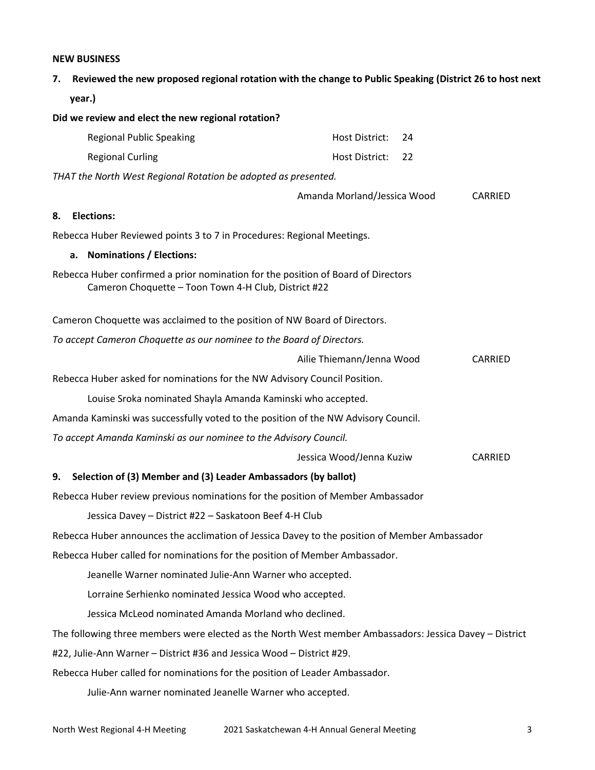#### **NEW BUSINESS**

| Reviewed the new proposed regional rotation with the change to Public Speaking (District 26 to host next<br>7.                            |                             |         |  |  |  |
|-------------------------------------------------------------------------------------------------------------------------------------------|-----------------------------|---------|--|--|--|
| year.)                                                                                                                                    |                             |         |  |  |  |
| Did we review and elect the new regional rotation?                                                                                        |                             |         |  |  |  |
| <b>Regional Public Speaking</b>                                                                                                           | Host District:<br>24        |         |  |  |  |
| <b>Regional Curling</b>                                                                                                                   | Host District:<br>22        |         |  |  |  |
| THAT the North West Regional Rotation be adopted as presented.                                                                            |                             |         |  |  |  |
|                                                                                                                                           | Amanda Morland/Jessica Wood | CARRIED |  |  |  |
| <b>Elections:</b><br>8.                                                                                                                   |                             |         |  |  |  |
| Rebecca Huber Reviewed points 3 to 7 in Procedures: Regional Meetings.                                                                    |                             |         |  |  |  |
| <b>Nominations / Elections:</b><br>a.                                                                                                     |                             |         |  |  |  |
| Rebecca Huber confirmed a prior nomination for the position of Board of Directors<br>Cameron Choquette - Toon Town 4-H Club, District #22 |                             |         |  |  |  |
| Cameron Choquette was acclaimed to the position of NW Board of Directors.                                                                 |                             |         |  |  |  |
| To accept Cameron Choquette as our nominee to the Board of Directors.                                                                     |                             |         |  |  |  |
|                                                                                                                                           | Ailie Thiemann/Jenna Wood   | CARRIED |  |  |  |
| Rebecca Huber asked for nominations for the NW Advisory Council Position.                                                                 |                             |         |  |  |  |
| Louise Sroka nominated Shayla Amanda Kaminski who accepted.                                                                               |                             |         |  |  |  |
| Amanda Kaminski was successfully voted to the position of the NW Advisory Council.                                                        |                             |         |  |  |  |
| To accept Amanda Kaminski as our nominee to the Advisory Council.                                                                         |                             |         |  |  |  |
|                                                                                                                                           | Jessica Wood/Jenna Kuziw    | CARRIED |  |  |  |
| Selection of (3) Member and (3) Leader Ambassadors (by ballot)<br>9.                                                                      |                             |         |  |  |  |
| Rebecca Huber review previous nominations for the position of Member Ambassador                                                           |                             |         |  |  |  |
| Jessica Davey - District #22 - Saskatoon Beef 4-H Club                                                                                    |                             |         |  |  |  |
| Rebecca Huber announces the acclimation of Jessica Davey to the position of Member Ambassador                                             |                             |         |  |  |  |
| Rebecca Huber called for nominations for the position of Member Ambassador.                                                               |                             |         |  |  |  |
| Jeanelle Warner nominated Julie-Ann Warner who accepted.                                                                                  |                             |         |  |  |  |
| Lorraine Serhienko nominated Jessica Wood who accepted.                                                                                   |                             |         |  |  |  |
| Jessica McLeod nominated Amanda Morland who declined.                                                                                     |                             |         |  |  |  |
| The following three members were elected as the North West member Ambassadors: Jessica Davey - District                                   |                             |         |  |  |  |

#22, Julie-Ann Warner – District #36 and Jessica Wood – District #29.

Rebecca Huber called for nominations for the position of Leader Ambassador.

Julie-Ann warner nominated Jeanelle Warner who accepted.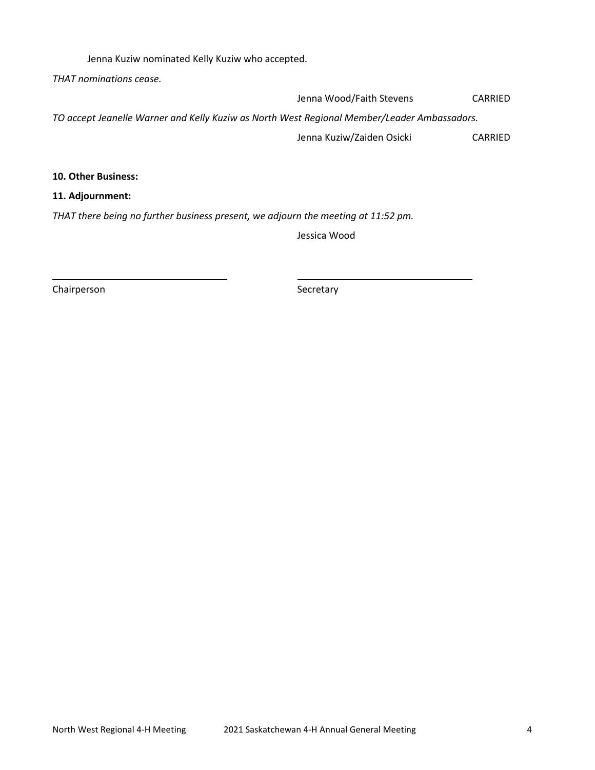Jenna Kuziw nominated Kelly Kuziw who accepted.

*THAT nominations cease.*

Jenna Wood/Faith Stevens CARRIED

*TO accept Jeanelle Warner and Kelly Kuziw as North West Regional Member/Leader Ambassadors.*

Jenna Kuziw/Zaiden Osicki CARRIED

**10. Other Business:**

**11. Adjournment:**

*THAT there being no further business present, we adjourn the meeting at 11:52 pm.*

Jessica Wood

Chairperson Secretary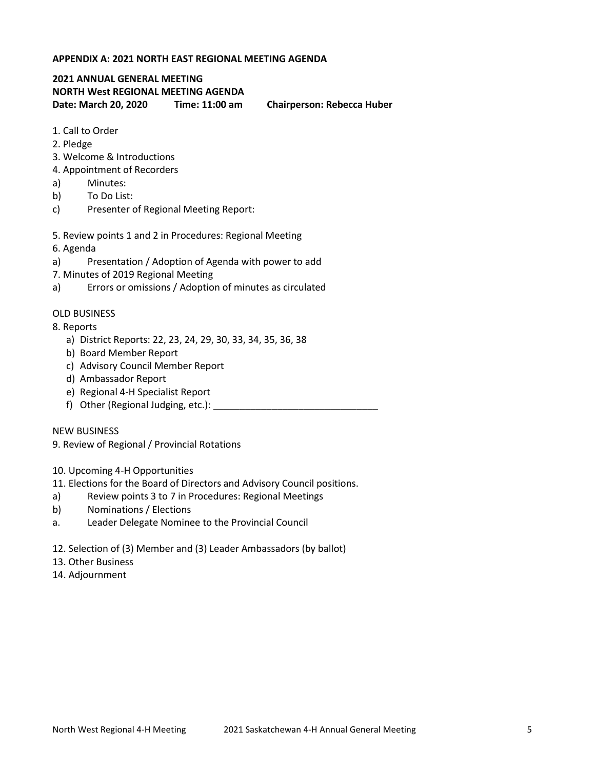### **APPENDIX A: 2021 NORTH EAST REGIONAL MEETING AGENDA**

## **2021 ANNUAL GENERAL MEETING NORTH West REGIONAL MEETING AGENDA Date: March 20, 2020 Time: 11:00 am Chairperson: Rebecca Huber**

- 1. Call to Order
- 2. Pledge
- 3. Welcome & Introductions
- 4. Appointment of Recorders
- a) Minutes:
- b) To Do List:
- c) Presenter of Regional Meeting Report:
- 5. Review points 1 and 2 in Procedures: Regional Meeting
- 6. Agenda
- a) Presentation / Adoption of Agenda with power to add
- 7. Minutes of 2019 Regional Meeting
- a) Errors or omissions / Adoption of minutes as circulated

#### OLD BUSINESS

- 8. Reports
	- a) District Reports: 22, 23, 24, 29, 30, 33, 34, 35, 36, 38
	- b) Board Member Report
	- c) Advisory Council Member Report
	- d) Ambassador Report
	- e) Regional 4-H Specialist Report
	- f) Other (Regional Judging, etc.): \_\_\_\_\_\_\_\_\_\_\_\_\_\_\_\_\_\_\_\_\_\_\_\_\_\_\_\_\_\_\_

#### NEW BUSINESS

9. Review of Regional / Provincial Rotations

- 10. Upcoming 4-H Opportunities
- 11. Elections for the Board of Directors and Advisory Council positions.
- a) Review points 3 to 7 in Procedures: Regional Meetings
- b) Nominations / Elections
- a. Leader Delegate Nominee to the Provincial Council
- 12. Selection of (3) Member and (3) Leader Ambassadors (by ballot)
- 13. Other Business
- 14. Adjournment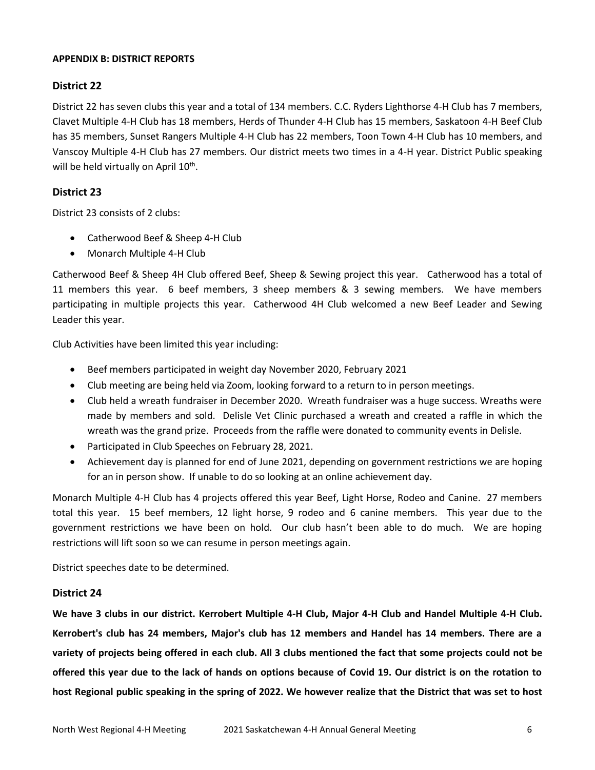## **APPENDIX B: DISTRICT REPORTS**

# **District 22**

District 22 has seven clubs this year and a total of 134 members. C.C. Ryders Lighthorse 4-H Club has 7 members, Clavet Multiple 4-H Club has 18 members, Herds of Thunder 4-H Club has 15 members, Saskatoon 4-H Beef Club has 35 members, Sunset Rangers Multiple 4-H Club has 22 members, Toon Town 4-H Club has 10 members, and Vanscoy Multiple 4-H Club has 27 members. Our district meets two times in a 4-H year. District Public speaking will be held virtually on April 10<sup>th</sup>.

# **District 23**

District 23 consists of 2 clubs:

- Catherwood Beef & Sheep 4-H Club
- Monarch Multiple 4-H Club

Catherwood Beef & Sheep 4H Club offered Beef, Sheep & Sewing project this year. Catherwood has a total of 11 members this year. 6 beef members, 3 sheep members & 3 sewing members. We have members participating in multiple projects this year. Catherwood 4H Club welcomed a new Beef Leader and Sewing Leader this year.

Club Activities have been limited this year including:

- Beef members participated in weight day November 2020, February 2021
- Club meeting are being held via Zoom, looking forward to a return to in person meetings.
- Club held a wreath fundraiser in December 2020. Wreath fundraiser was a huge success. Wreaths were made by members and sold. Delisle Vet Clinic purchased a wreath and created a raffle in which the wreath was the grand prize. Proceeds from the raffle were donated to community events in Delisle.
- Participated in Club Speeches on February 28, 2021.
- Achievement day is planned for end of June 2021, depending on government restrictions we are hoping for an in person show. If unable to do so looking at an online achievement day.

Monarch Multiple 4-H Club has 4 projects offered this year Beef, Light Horse, Rodeo and Canine. 27 members total this year. 15 beef members, 12 light horse, 9 rodeo and 6 canine members. This year due to the government restrictions we have been on hold. Our club hasn't been able to do much. We are hoping restrictions will lift soon so we can resume in person meetings again.

District speeches date to be determined.

## **District 24**

**We have 3 clubs in our district. Kerrobert Multiple 4-H Club, Major 4-H Club and Handel Multiple 4-H Club. Kerrobert's club has 24 members, Major's club has 12 members and Handel has 14 members. There are a variety of projects being offered in each club. All 3 clubs mentioned the fact that some projects could not be offered this year due to the lack of hands on options because of Covid 19. Our district is on the rotation to host Regional public speaking in the spring of 2022. We however realize that the District that was set to host**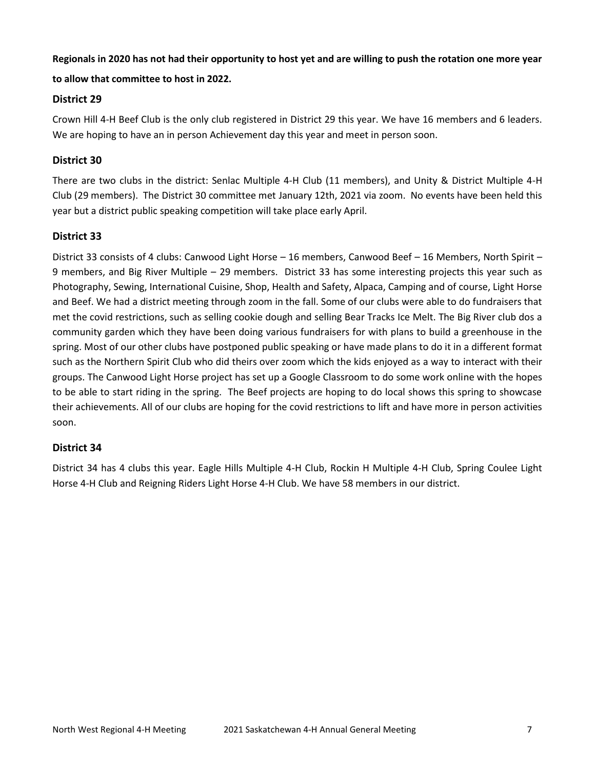# **Regionals in 2020 has not had their opportunity to host yet and are willing to push the rotation one more year**

# **to allow that committee to host in 2022.**

# **District 29**

Crown Hill 4-H Beef Club is the only club registered in District 29 this year. We have 16 members and 6 leaders. We are hoping to have an in person Achievement day this year and meet in person soon.

# **District 30**

There are two clubs in the district: Senlac Multiple 4-H Club (11 members), and Unity & District Multiple 4-H Club (29 members). The District 30 committee met January 12th, 2021 via zoom. No events have been held this year but a district public speaking competition will take place early April.

# **District 33**

District 33 consists of 4 clubs: Canwood Light Horse – 16 members, Canwood Beef – 16 Members, North Spirit – 9 members, and Big River Multiple – 29 members. District 33 has some interesting projects this year such as Photography, Sewing, International Cuisine, Shop, Health and Safety, Alpaca, Camping and of course, Light Horse and Beef. We had a district meeting through zoom in the fall. Some of our clubs were able to do fundraisers that met the covid restrictions, such as selling cookie dough and selling Bear Tracks Ice Melt. The Big River club dos a community garden which they have been doing various fundraisers for with plans to build a greenhouse in the spring. Most of our other clubs have postponed public speaking or have made plans to do it in a different format such as the Northern Spirit Club who did theirs over zoom which the kids enjoyed as a way to interact with their groups. The Canwood Light Horse project has set up a Google Classroom to do some work online with the hopes to be able to start riding in the spring. The Beef projects are hoping to do local shows this spring to showcase their achievements. All of our clubs are hoping for the covid restrictions to lift and have more in person activities soon.

# **District 34**

District 34 has 4 clubs this year. Eagle Hills Multiple 4-H Club, Rockin H Multiple 4-H Club, Spring Coulee Light Horse 4-H Club and Reigning Riders Light Horse 4-H Club. We have 58 members in our district.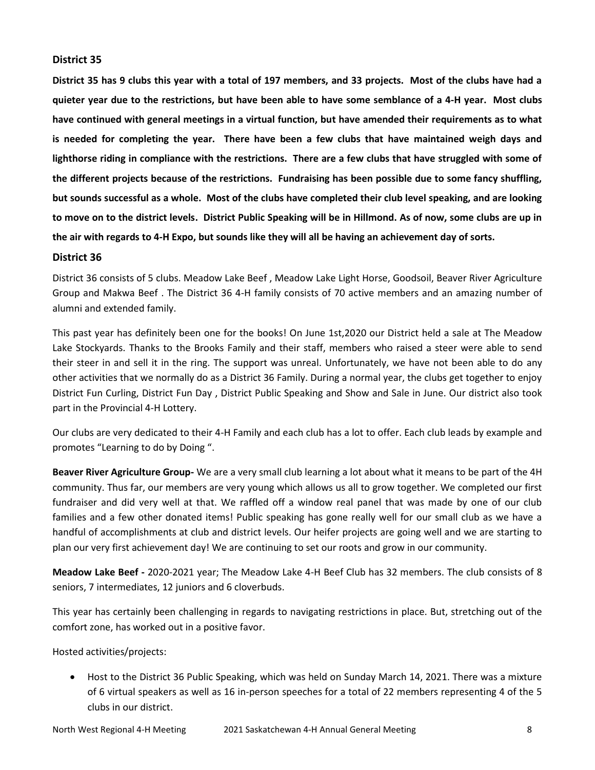## **District 35**

**District 35 has 9 clubs this year with a total of 197 members, and 33 projects. Most of the clubs have had a quieter year due to the restrictions, but have been able to have some semblance of a 4-H year. Most clubs have continued with general meetings in a virtual function, but have amended their requirements as to what is needed for completing the year. There have been a few clubs that have maintained weigh days and lighthorse riding in compliance with the restrictions. There are a few clubs that have struggled with some of the different projects because of the restrictions. Fundraising has been possible due to some fancy shuffling, but sounds successful as a whole. Most of the clubs have completed their club level speaking, and are looking to move on to the district levels. District Public Speaking will be in Hillmond. As of now, some clubs are up in the air with regards to 4-H Expo, but sounds like they will all be having an achievement day of sorts.** 

## **District 36**

District 36 consists of 5 clubs. Meadow Lake Beef , Meadow Lake Light Horse, Goodsoil, Beaver River Agriculture Group and Makwa Beef . The District 36 4-H family consists of 70 active members and an amazing number of alumni and extended family.

This past year has definitely been one for the books! On June 1st,2020 our District held a sale at The Meadow Lake Stockyards. Thanks to the Brooks Family and their staff, members who raised a steer were able to send their steer in and sell it in the ring. The support was unreal. Unfortunately, we have not been able to do any other activities that we normally do as a District 36 Family. During a normal year, the clubs get together to enjoy District Fun Curling, District Fun Day , District Public Speaking and Show and Sale in June. Our district also took part in the Provincial 4-H Lottery.

Our clubs are very dedicated to their 4-H Family and each club has a lot to offer. Each club leads by example and promotes "Learning to do by Doing ".

**Beaver River Agriculture Group-** We are a very small club learning a lot about what it means to be part of the 4H community. Thus far, our members are very young which allows us all to grow together. We completed our first fundraiser and did very well at that. We raffled off a window real panel that was made by one of our club families and a few other donated items! Public speaking has gone really well for our small club as we have a handful of accomplishments at club and district levels. Our heifer projects are going well and we are starting to plan our very first achievement day! We are continuing to set our roots and grow in our community.

**Meadow Lake Beef -** 2020-2021 year; The Meadow Lake 4-H Beef Club has 32 members. The club consists of 8 seniors, 7 intermediates, 12 juniors and 6 cloverbuds.

This year has certainly been challenging in regards to navigating restrictions in place. But, stretching out of the comfort zone, has worked out in a positive favor.

Hosted activities/projects:

 Host to the District 36 Public Speaking, which was held on Sunday March 14, 2021. There was a mixture of 6 virtual speakers as well as 16 in-person speeches for a total of 22 members representing 4 of the 5 clubs in our district.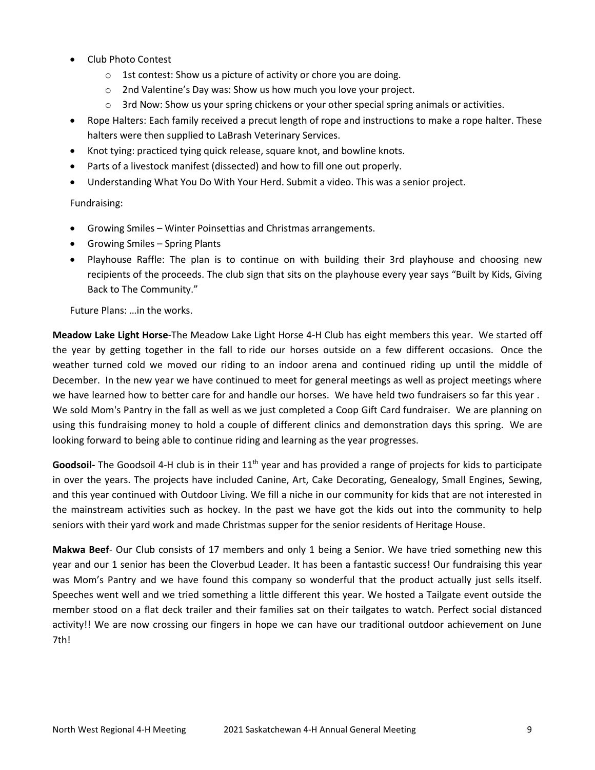- Club Photo Contest
	- o 1st contest: Show us a picture of activity or chore you are doing.
	- o 2nd Valentine's Day was: Show us how much you love your project.
	- $\circ$  3rd Now: Show us your spring chickens or your other special spring animals or activities.
- Rope Halters: Each family received a precut length of rope and instructions to make a rope halter. These halters were then supplied to LaBrash Veterinary Services.
- Knot tying: practiced tying quick release, square knot, and bowline knots.
- Parts of a livestock manifest (dissected) and how to fill one out properly.
- Understanding What You Do With Your Herd. Submit a video. This was a senior project.

## Fundraising:

- Growing Smiles Winter Poinsettias and Christmas arrangements.
- Growing Smiles Spring Plants
- Playhouse Raffle: The plan is to continue on with building their 3rd playhouse and choosing new recipients of the proceeds. The club sign that sits on the playhouse every year says "Built by Kids, Giving Back to The Community."

Future Plans: …in the works.

**Meadow Lake Light Horse**-The Meadow Lake Light Horse 4-H Club has eight members this year. We started off the year by getting together in the fall to ride our horses outside on a few different occasions. Once the weather turned cold we moved our riding to an indoor arena and continued riding up until the middle of December. In the new year we have continued to meet for general meetings as well as project meetings where we have learned how to better care for and handle our horses. We have held two fundraisers so far this year . We sold Mom's Pantry in the fall as well as we just completed a Coop Gift Card fundraiser. We are planning on using this fundraising money to hold a couple of different clinics and demonstration days this spring. We are looking forward to being able to continue riding and learning as the year progresses.

Goodsoil- The Goodsoil 4-H club is in their 11<sup>th</sup> year and has provided a range of projects for kids to participate in over the years. The projects have included Canine, Art, Cake Decorating, Genealogy, Small Engines, Sewing, and this year continued with Outdoor Living. We fill a niche in our community for kids that are not interested in the mainstream activities such as hockey. In the past we have got the kids out into the community to help seniors with their yard work and made Christmas supper for the senior residents of Heritage House.

**Makwa Beef**- Our Club consists of 17 members and only 1 being a Senior. We have tried something new this year and our 1 senior has been the Cloverbud Leader. It has been a fantastic success! Our fundraising this year was Mom's Pantry and we have found this company so wonderful that the product actually just sells itself. Speeches went well and we tried something a little different this year. We hosted a Tailgate event outside the member stood on a flat deck trailer and their families sat on their tailgates to watch. Perfect social distanced activity!! We are now crossing our fingers in hope we can have our traditional outdoor achievement on June 7th!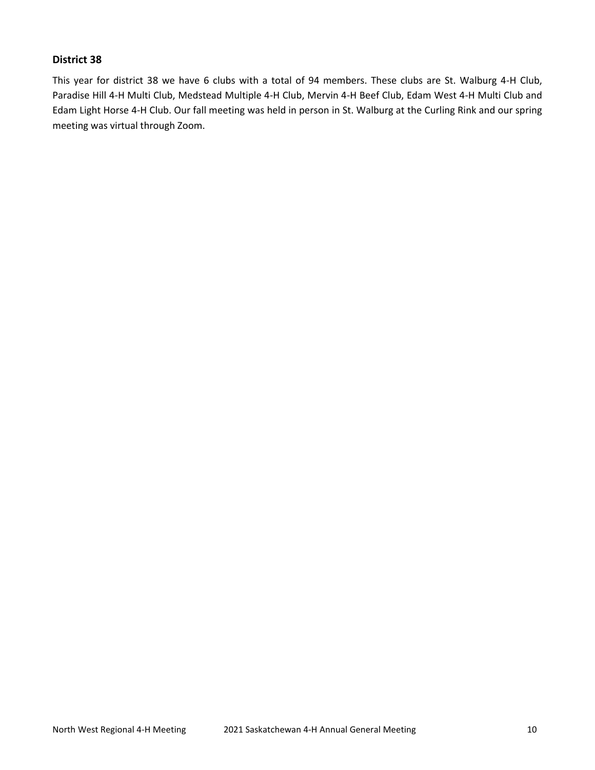## **District 38**

This year for district 38 we have 6 clubs with a total of 94 members. These clubs are St. Walburg 4-H Club, Paradise Hill 4-H Multi Club, Medstead Multiple 4-H Club, Mervin 4-H Beef Club, Edam West 4-H Multi Club and Edam Light Horse 4-H Club. Our fall meeting was held in person in St. Walburg at the Curling Rink and our spring meeting was virtual through Zoom.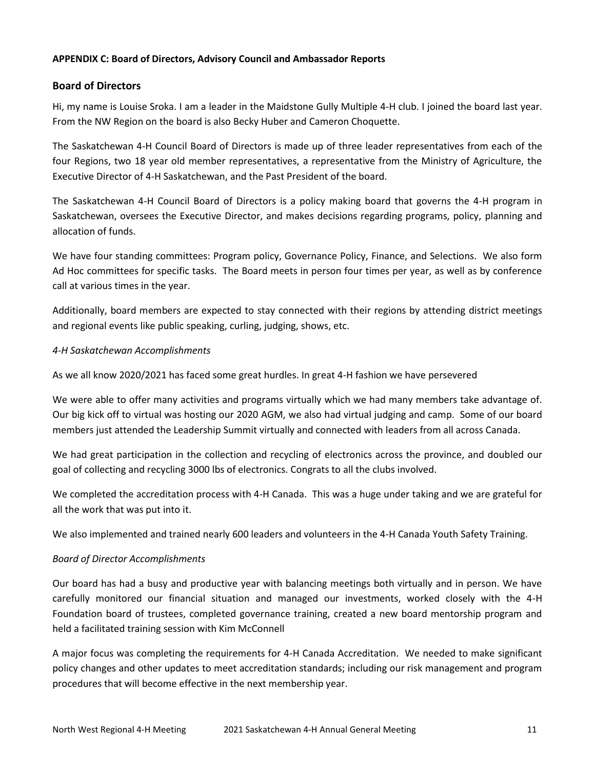## **APPENDIX C: Board of Directors, Advisory Council and Ambassador Reports**

## **Board of Directors**

Hi, my name is Louise Sroka. I am a leader in the Maidstone Gully Multiple 4-H club. I joined the board last year. From the NW Region on the board is also Becky Huber and Cameron Choquette.

The Saskatchewan 4-H Council Board of Directors is made up of three leader representatives from each of the four Regions, two 18 year old member representatives, a representative from the Ministry of Agriculture, the Executive Director of 4-H Saskatchewan, and the Past President of the board.

The Saskatchewan 4-H Council Board of Directors is a policy making board that governs the 4-H program in Saskatchewan, oversees the Executive Director, and makes decisions regarding programs, policy, planning and allocation of funds.

We have four standing committees: Program policy, Governance Policy, Finance, and Selections. We also form Ad Hoc committees for specific tasks. The Board meets in person four times per year, as well as by conference call at various times in the year.

Additionally, board members are expected to stay connected with their regions by attending district meetings and regional events like public speaking, curling, judging, shows, etc.

## *4-H Saskatchewan Accomplishments*

As we all know 2020/2021 has faced some great hurdles. In great 4-H fashion we have persevered

We were able to offer many activities and programs virtually which we had many members take advantage of. Our big kick off to virtual was hosting our 2020 AGM, we also had virtual judging and camp. Some of our board members just attended the Leadership Summit virtually and connected with leaders from all across Canada.

We had great participation in the collection and recycling of electronics across the province, and doubled our goal of collecting and recycling 3000 lbs of electronics. Congrats to all the clubs involved.

We completed the accreditation process with 4-H Canada. This was a huge under taking and we are grateful for all the work that was put into it.

We also implemented and trained nearly 600 leaders and volunteers in the 4-H Canada Youth Safety Training.

## *Board of Director Accomplishments*

Our board has had a busy and productive year with balancing meetings both virtually and in person. We have carefully monitored our financial situation and managed our investments, worked closely with the 4-H Foundation board of trustees, completed governance training, created a new board mentorship program and held a facilitated training session with Kim McConnell

A major focus was completing the requirements for 4-H Canada Accreditation. We needed to make significant policy changes and other updates to meet accreditation standards; including our risk management and program procedures that will become effective in the next membership year.